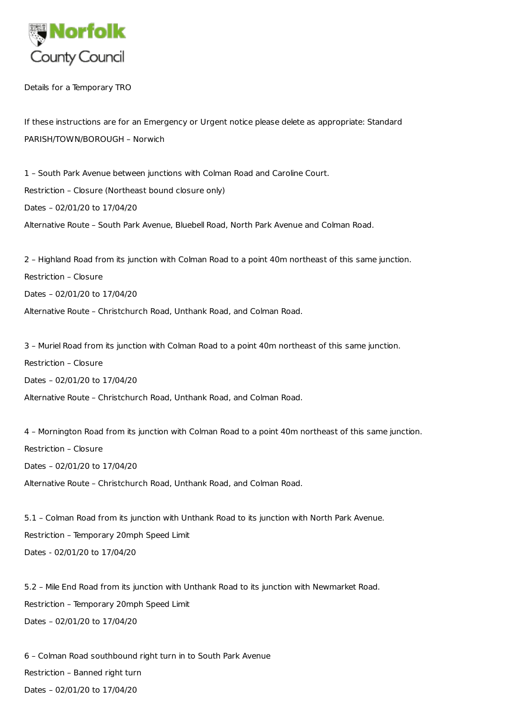

Details for a Temporary TRO

If these instructions are for an Emergency or Urgent notice please delete as appropriate: Standard PARISH/TOWN/BOROUGH – Norwich

1 – South Park Avenue between junctions with Colman Road and Caroline Court. Restriction – Closure (Northeast bound closure only) Dates – 02/01/20 to 17/04/20 Alternative Route – South Park Avenue, Bluebell Road, North Park Avenue and Colman Road.

2 – Highland Road from its junction with Colman Road to a point 40m northeast of this same junction. Restriction – Closure Dates – 02/01/20 to 17/04/20 Alternative Route – Christchurch Road, Unthank Road, and Colman Road.

3 – Muriel Road from its junction with Colman Road to a point 40m northeast of this same junction. Restriction – Closure Dates – 02/01/20 to 17/04/20 Alternative Route – Christchurch Road, Unthank Road, and Colman Road.

4 – Mornington Road from its junction with Colman Road to a point 40m northeast of this same junction. Restriction – Closure Dates – 02/01/20 to 17/04/20 Alternative Route – Christchurch Road, Unthank Road, and Colman Road.

5.1 – Colman Road from its junction with Unthank Road to its junction with North Park Avenue. Restriction – Temporary 20mph Speed Limit Dates - 02/01/20 to 17/04/20

5.2 – Mile End Road from its junction with Unthank Road to its junction with Newmarket Road. Restriction – Temporary 20mph Speed Limit Dates – 02/01/20 to 17/04/20

6 – Colman Road southbound right turn in to South Park Avenue Restriction – Banned right turn Dates – 02/01/20 to 17/04/20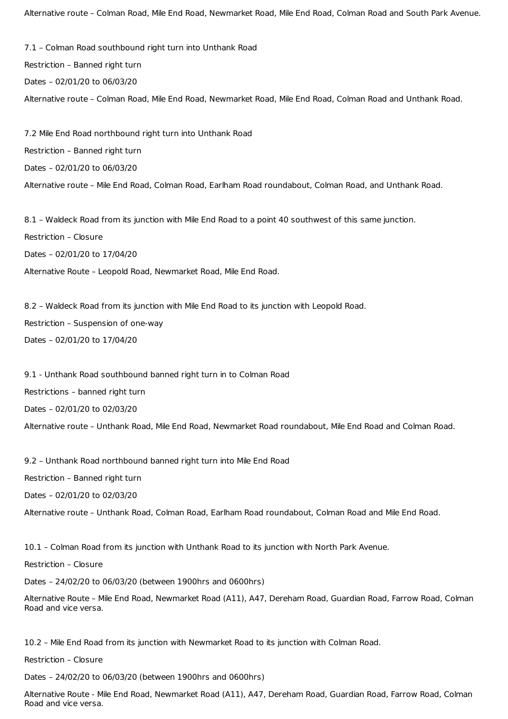Alternative route – Colman Road, Mile End Road, Newmarket Road, Mile End Road, Colman Road and South Park Avenue.

7.1 – Colman Road southbound right turn into Unthank Road Restriction – Banned right turn Dates – 02/01/20 to 06/03/20 Alternative route – Colman Road, Mile End Road, Newmarket Road, Mile End Road, Colman Road and Unthank Road.

7.2 Mile End Road northbound right turn into Unthank Road Restriction – Banned right turn Dates – 02/01/20 to 06/03/20 Alternative route – Mile End Road, Colman Road, Earlham Road roundabout, Colman Road, and Unthank Road.

8.1 – Waldeck Road from its junction with Mile End Road to a point 40 southwest of this same junction. Restriction – Closure Dates – 02/01/20 to 17/04/20 Alternative Route – Leopold Road, Newmarket Road, Mile End Road.

8.2 – Waldeck Road from its junction with Mile End Road to its junction with Leopold Road. Restriction – Suspension of one-way Dates – 02/01/20 to 17/04/20

9.1 - Unthank Road southbound banned right turn in to Colman Road Restrictions – banned right turn Dates – 02/01/20 to 02/03/20 Alternative route – Unthank Road, Mile End Road, Newmarket Road roundabout, Mile End Road and Colman Road.

9.2 – Unthank Road northbound banned right turn into Mile End Road

Restriction – Banned right turn

Dates – 02/01/20 to 02/03/20

Alternative route – Unthank Road, Colman Road, Earlham Road roundabout, Colman Road and Mile End Road.

10.1 – Colman Road from its junction with Unthank Road to its junction with North Park Avenue.

Restriction – Closure

Dates – 24/02/20 to 06/03/20 (between 1900hrs and 0600hrs)

Alternative Route – Mile End Road, Newmarket Road (A11), A47, Dereham Road, Guardian Road, Farrow Road, Colman Road and vice versa.

10.2 – Mile End Road from its junction with Newmarket Road to its junction with Colman Road.

Restriction – Closure

Dates – 24/02/20 to 06/03/20 (between 1900hrs and 0600hrs)

Alternative Route - Mile End Road, Newmarket Road (A11), A47, Dereham Road, Guardian Road, Farrow Road, Colman Road and vice versa.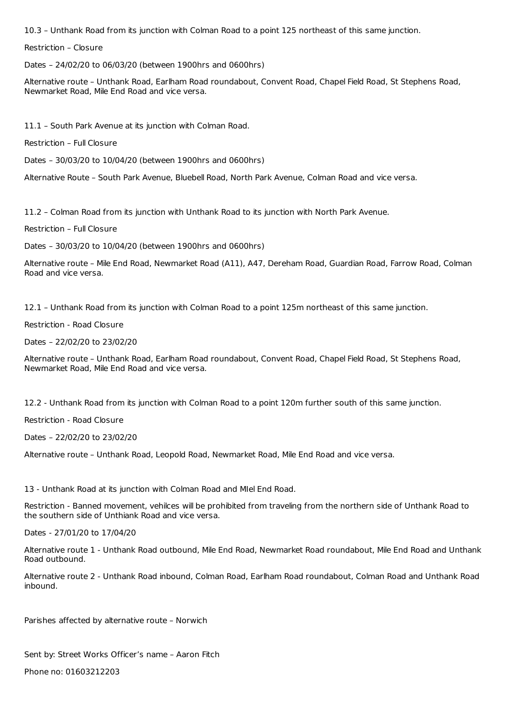10.3 – Unthank Road from its junction with Colman Road to a point 125 northeast of this same junction.

Restriction – Closure

Dates – 24/02/20 to 06/03/20 (between 1900hrs and 0600hrs)

Alternative route – Unthank Road, Earlham Road roundabout, Convent Road, Chapel Field Road, St Stephens Road, Newmarket Road, Mile End Road and vice versa.

11.1 – South Park Avenue at its junction with Colman Road.

Restriction – Full Closure

Dates – 30/03/20 to 10/04/20 (between 1900hrs and 0600hrs)

Alternative Route – South Park Avenue, Bluebell Road, North Park Avenue, Colman Road and vice versa.

11.2 – Colman Road from its junction with Unthank Road to its junction with North Park Avenue.

Restriction – Full Closure

Dates – 30/03/20 to 10/04/20 (between 1900hrs and 0600hrs)

Alternative route – Mile End Road, Newmarket Road (A11), A47, Dereham Road, Guardian Road, Farrow Road, Colman Road and vice versa.

12.1 – Unthank Road from its junction with Colman Road to a point 125m northeast of this same junction.

Restriction - Road Closure

Dates – 22/02/20 to 23/02/20

Alternative route – Unthank Road, Earlham Road roundabout, Convent Road, Chapel Field Road, St Stephens Road, Newmarket Road, Mile End Road and vice versa.

12.2 - Unthank Road from its junction with Colman Road to a point 120m further south of this same junction.

Restriction - Road Closure

Dates – 22/02/20 to 23/02/20

Alternative route – Unthank Road, Leopold Road, Newmarket Road, Mile End Road and vice versa.

13 - Unthank Road at its junction with Colman Road and MIel End Road.

Restriction - Banned movement, vehilces will be prohibited from traveling from the northern side of Unthank Road to the southern side of Unthiank Road and vice versa.

Dates - 27/01/20 to 17/04/20

Alternative route 1 - Unthank Road outbound, Mile End Road, Newmarket Road roundabout, Mile End Road and Unthank Road outbound.

Alternative route 2 - Unthank Road inbound, Colman Road, Earlham Road roundabout, Colman Road and Unthank Road inbound.

Parishes affected by alternative route – Norwich

Sent by: Street Works Officer's name – Aaron Fitch Phone no: 01603212203